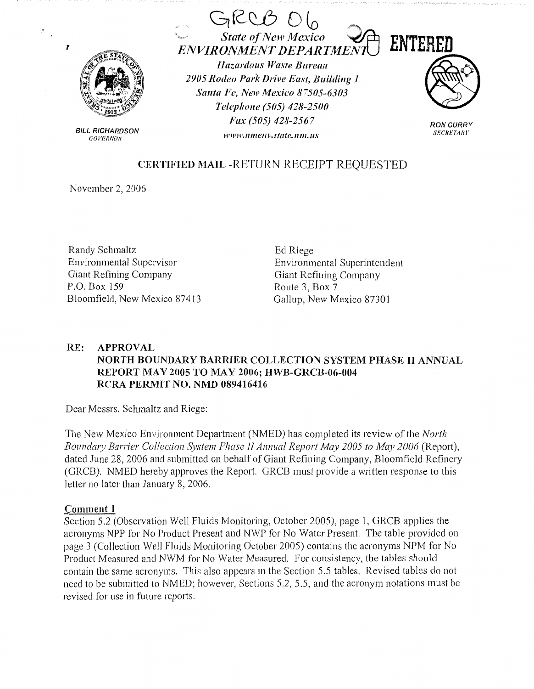

 $\mathbf{r}$ 

**BILL RICHARDSON GOVERNOR** 



# **CERTIFIED MAIL -RETURN RECEIPT REQUESTED**

November 2, 2006

Randy Schmaltz Environmental Supervisor Giant Refining Company P.O. Box 159 Bloomfield, New Mexico 87413 Ed Riege Environmental Superintendent Giant Refining Company Route 3, Box 7 Gallup, New Mexico 87301

#### $RE:$ **APPROVAL** NORTH BOUNDARY BARRIER COLLECTION SYSTEM PHASE II ANNUAL REPORT MAY 2005 TO MAY 2006: HWB-GRCB-06-004 RCRA PERMIT NO. NMD 089416416

Dear Messrs. Schmaltz and Riege:

The New Mexico Environment Department (NMED) has completed its review of the *North* Boundary Barrier Collection System Phase II Annual Report May 2005 to May 2006 (Report), dated June 28, 2006 and submitted on behalf of Giant Refining Company, Bloomfield Refinery (GRCB). NMED hereby approves the Report. GRCB must provide a written response to this letter no later than January 8, 2006.

# Comment 1

Section 5.2 (Observation Well Fluids Monitoring, October 2005), page 1, GRCB applies the acronyms NPP for No Product Present and NWP for No Water Present. The table provided on page 3 (Collection Well Fluids Monitoring October 2005) contains the acronyms NPM for No Product Measured and NWM for No Water Measured. For consistency, the tables should contain the same acronyms. This also appears in the Section 5.5 tables. Revised tables do not need to be submitted to NMED; however, Sections 5.2, 5.5, and the acronym notations must be revised for use in future reports.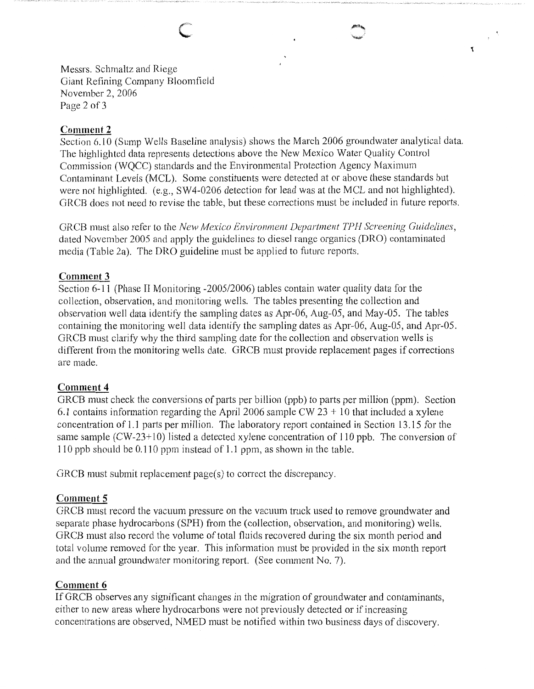Messrs. Schmaltz and Riege Giant Refining Company Bloomfield November 2, 2006 Page 2 of 3

C

# **Comment 2**

Section 6.10 (Sump Wells Baseline analysis) shows the March 2006 groundwater analytical data. The highlighted data represents detections above the New Mexico Water Quality Control Commission (WQCC) standards and the Environmental Protection Agency Maximum Contaminant Levels (MCL). Some constituents were detected at or above these standards but were not highlighted. (e.g., SW4-0206 detection for lead was at the MCL and not highlighted). GRCB does not need to revise the table, but these corrections must be included in future reports.

 $\mathbf{r}$ 

GRCB must also refer to the *Nevv Mexico Environment Department TPH Screening Guidelines,*  dated November 2005 and apply the guidelines to diesel range organics (DRO) contaminated media (Table 2a). The DRO guideline must be applied to future reports.

## **Comment 3**

Section 6-11 (Phase II Monitoring -2005/2006) tables contain water quality data for the collection, observation, and monitoring wells. The tables presenting the collection and observation well data identify the sampling dates as Apr-06, Aug-05, and May-05. The tables containing the monitoring well data identify the sampling dates as Apr-06, Aug-05, and Apr-05. GRCB must clarify why the third sampling date for the collection and observation wells is different from the monitoring wells date. GRCB must provide replacement pages if corrections are made.

# **Comment 4**

GRCB must check the conversions of parts per billion (ppb) to parts per million (ppm). Section 6.1 contains information regarding the April 2006 sample CW  $23 + 10$  that included a xylene concentration of 1.1 parts per million. The laboratory report contained in Section 13 .15 for the same sample (CW-23+10) listed a detected xylene concentration of 110 ppb. The conversion of 110 ppb should be 0.110 ppm instead of 1.1 ppm, as shown in the table.

GRCB must submit replacement page(s) to correct the discrepancy.

## **Comment 5**

GRCB must record the vacuum pressure on the vacuum truck used to remove groundwater and separate phase hydrocarbons (SPH) from the (collection, observation, and monitoring) wells. GRCB must also record the volume of total fluids recovered during the six month period and total volume removed for the year. This information must be provided in the six month report and the annual groundwater monitoring report. (See comment No. 7).

## **Comment 6**

If GRCB observes any significant changes in the migration of groundwater and contaminants, either to new areas where hydrocarbons were not previously detected or if increasing concentrations are observed, NMED must be notified within two business days of discovery.